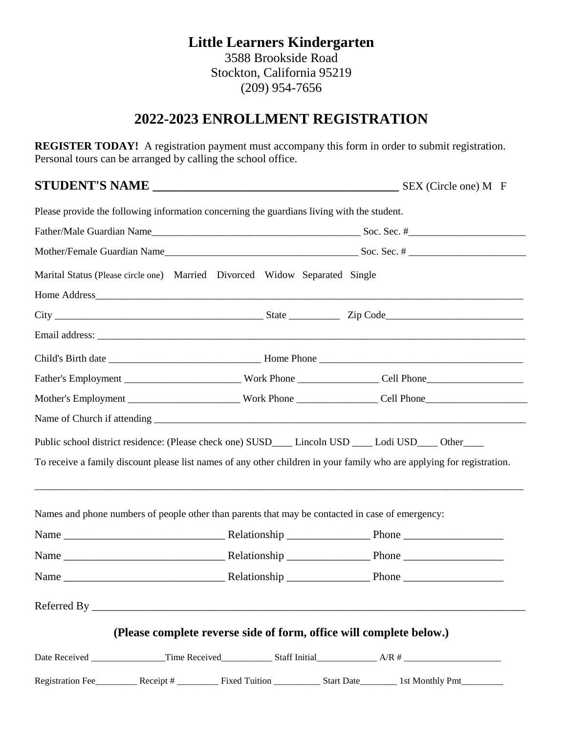### **Little Learners Kindergarten** 3588 Brookside Road Stockton, California 95219 (209) 954-7656

## **2022-2023 ENROLLMENT REGISTRATION**

**REGISTER TODAY!** A registration payment must accompany this form in order to submit registration. Personal tours can be arranged by calling the school office.

### **STUDENT'S NAME \_\_\_\_\_\_\_\_\_\_\_\_\_\_\_\_\_\_\_\_\_\_\_\_\_\_\_\_\_\_\_\_\_\_\_\_\_\_** SEX (Circle one) M F

| Please provide the following information concerning the guardians living with the student.                             |                                                                     |
|------------------------------------------------------------------------------------------------------------------------|---------------------------------------------------------------------|
|                                                                                                                        |                                                                     |
|                                                                                                                        |                                                                     |
| Marital Status (Please circle one) Married Divorced Widow Separated Single                                             |                                                                     |
|                                                                                                                        |                                                                     |
|                                                                                                                        |                                                                     |
|                                                                                                                        |                                                                     |
|                                                                                                                        |                                                                     |
|                                                                                                                        |                                                                     |
|                                                                                                                        |                                                                     |
|                                                                                                                        |                                                                     |
| Public school district residence: (Please check one) SUSD____ Lincoln USD ____ Lodi USD____ Other____                  |                                                                     |
| To receive a family discount please list names of any other children in your family who are applying for registration. |                                                                     |
|                                                                                                                        |                                                                     |
|                                                                                                                        |                                                                     |
| Names and phone numbers of people other than parents that may be contacted in case of emergency:                       |                                                                     |
|                                                                                                                        |                                                                     |
|                                                                                                                        |                                                                     |
|                                                                                                                        |                                                                     |
|                                                                                                                        |                                                                     |
|                                                                                                                        | (Please complete reverse side of form, office will complete below.) |
|                                                                                                                        |                                                                     |
|                                                                                                                        |                                                                     |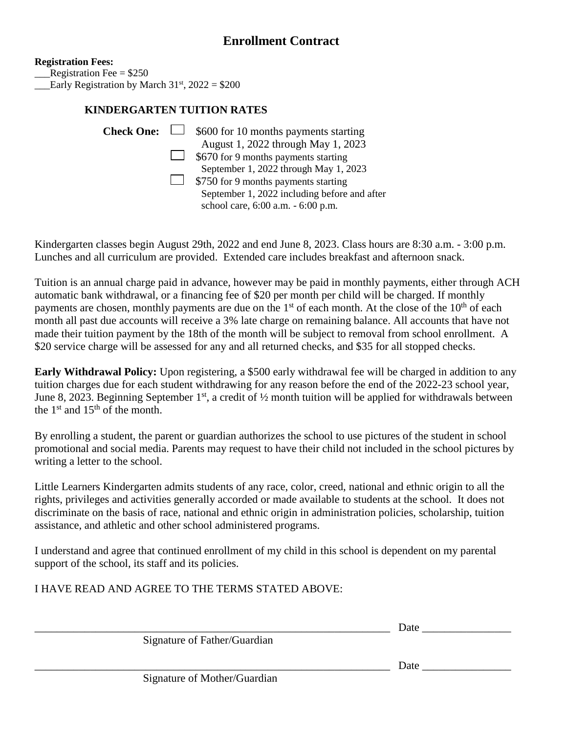**Registration Fees:** Registration Fee  $= $250$ 

Early Registration by March  $31<sup>st</sup>$ , 2022 = \$200

#### **KINDERGARTEN TUITION RATES**

| $\Box$ \$600 for 10 months payments starting                                       |
|------------------------------------------------------------------------------------|
| August 1, 2022 through May 1, 2023                                                 |
| $\Box$ \$670 for 9 months payments starting                                        |
| September 1, 2022 through May 1, 2023                                              |
| \$750 for 9 months payments starting                                               |
| September 1, 2022 including before and after<br>school care, 6:00 a.m. - 6:00 p.m. |
|                                                                                    |

Kindergarten classes begin August 29th, 2022 and end June 8, 2023. Class hours are 8:30 a.m. - 3:00 p.m. Lunches and all curriculum are provided. Extended care includes breakfast and afternoon snack.

Tuition is an annual charge paid in advance, however may be paid in monthly payments, either through ACH automatic bank withdrawal, or a financing fee of \$20 per month per child will be charged. If monthly payments are chosen, monthly payments are due on the  $1<sup>st</sup>$  of each month. At the close of the  $10<sup>th</sup>$  of each month all past due accounts will receive a 3% late charge on remaining balance. All accounts that have not made their tuition payment by the 18th of the month will be subject to removal from school enrollment. A \$20 service charge will be assessed for any and all returned checks, and \$35 for all stopped checks.

**Early Withdrawal Policy:** Upon registering, a \$500 early withdrawal fee will be charged in addition to any tuition charges due for each student withdrawing for any reason before the end of the 2022-23 school year, June 8, 2023. Beginning September  $1<sup>st</sup>$ , a credit of  $\frac{1}{2}$  month tuition will be applied for withdrawals between the  $1<sup>st</sup>$  and  $15<sup>th</sup>$  of the month.

By enrolling a student, the parent or guardian authorizes the school to use pictures of the student in school promotional and social media. Parents may request to have their child not included in the school pictures by writing a letter to the school.

Little Learners Kindergarten admits students of any race, color, creed, national and ethnic origin to all the rights, privileges and activities generally accorded or made available to students at the school. It does not discriminate on the basis of race, national and ethnic origin in administration policies, scholarship, tuition assistance, and athletic and other school administered programs.

I understand and agree that continued enrollment of my child in this school is dependent on my parental support of the school, its staff and its policies.

I HAVE READ AND AGREE TO THE TERMS STATED ABOVE:

| ___ | ----<br>- |  |
|-----|-----------|--|
|     |           |  |

Signature of Father/Guardian